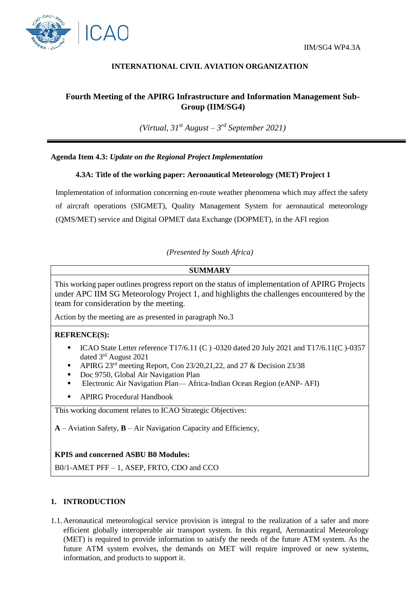



## **INTERNATIONAL CIVIL AVIATION ORGANIZATION**

# **Fourth Meeting of the APIRG Infrastructure and Information Management Sub-Group (IIM/SG4)**

*(Virtual, 31st August – 3 rd September 2021)*

## **Agenda Item 4.3:** *Update on the Regional Project Implementation*

#### **4.3A: Title of the working paper: Aeronautical Meteorology (MET) Project 1**

Implementation of information concerning en-route weather phenomena which may affect the safety of aircraft operations (SIGMET), Quality Management System for aeronautical meteorology (QMS/MET) service and Digital OPMET data Exchange (DOPMET), in the AFI region

*(Presented by South Africa)*

#### **SUMMARY**

This working paper outlines progress report on the status of implementation of APIRG Projects under APC IIM SG Meteorology Project 1, and highlights the challenges encountered by the team for consideration by the meeting.

Action by the meeting are as presented in paragraph No.3

#### **REFRENCE(S):**

- ICAO State Letter reference T17/6.11 (C ) -0320 dated 20 July 2021 and T17/6.11(C )-0357 dated 3rd August 2021
- APIRG 23rd meeting Report, Con 23/20,21,22, and 27 & Decision 23/38
- Doc 9750, Global Air Navigation Plan
- Electronic Air Navigation Plan— Africa-Indian Ocean Region (eANP- AFI)
- APIRG Procedural Handbook

This working document relates to ICAO Strategic Objectives:

**A** – Aviation Safety, **B** – Air Navigation Capacity and Efficiency,

#### **KPIS and concerned ASBU B0 Modules:**

B0/1-AMET PFF – 1, ASEP, FRTO, CDO and CCO

#### **1. INTRODUCTION**

1.1.Aeronautical meteorological service provision is integral to the realization of a safer and more efficient globally interoperable air transport system. In this regard, Aeronautical Meteorology (MET) is required to provide information to satisfy the needs of the future ATM system. As the future ATM system evolves, the demands on MET will require improved or new systems, information, and products to support it.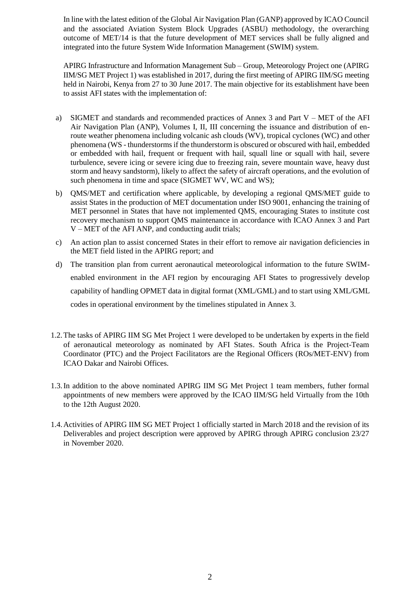In line with the latest edition of the Global Air Navigation Plan (GANP) approved by ICAO Council and the associated Aviation System Block Upgrades (ASBU) methodology, the overarching outcome of MET/14 is that the future development of MET services shall be fully aligned and integrated into the future System Wide Information Management (SWIM) system.

APIRG Infrastructure and Information Management Sub – Group, Meteorology Project one (APIRG IIM/SG MET Project 1) was established in 2017, during the first meeting of APIRG IIM/SG meeting held in Nairobi, Kenya from 27 to 30 June 2017. The main objective for its establishment have been to assist AFI states with the implementation of:

- a) SIGMET and standards and recommended practices of Annex 3 and Part  $V MET$  of the AFI Air Navigation Plan (ANP), Volumes I, II, III concerning the issuance and distribution of enroute weather phenomena including volcanic ash clouds (WV), tropical cyclones (WC) and other phenomena (WS - thunderstorms if the thunderstorm is obscured or obscured with hail, embedded or embedded with hail, frequent or frequent with hail, squall line or squall with hail, severe turbulence, severe icing or severe icing due to freezing rain, severe mountain wave, heavy dust storm and heavy sandstorm), likely to affect the safety of aircraft operations, and the evolution of such phenomena in time and space (SIGMET WV, WC and WS);
- b) QMS/MET and certification where applicable, by developing a regional QMS/MET guide to assist States in the production of MET documentation under ISO 9001, enhancing the training of MET personnel in States that have not implemented QMS, encouraging States to institute cost recovery mechanism to support QMS maintenance in accordance with ICAO Annex 3 and Part V – MET of the AFI ANP, and conducting audit trials;
- c) An action plan to assist concerned States in their effort to remove air navigation deficiencies in the MET field listed in the APIRG report; and
- d) The transition plan from current aeronautical meteorological information to the future SWIMenabled environment in the AFI region by encouraging AFI States to progressively develop capability of handling OPMET data in digital format (XML/GML) and to start using XML/GML codes in operational environment by the timelines stipulated in Annex 3.
- 1.2.The tasks of APIRG IIM SG Met Project 1 were developed to be undertaken by experts in the field of aeronautical meteorology as nominated by AFI States. South Africa is the Project-Team Coordinator (PTC) and the Project Facilitators are the Regional Officers (ROs/MET-ENV) from ICAO Dakar and Nairobi Offices.
- 1.3.In addition to the above nominated APIRG IIM SG Met Project 1 team members, futher formal appointments of new members were approved by the ICAO IIM/SG held Virtually from the 10th to the 12th August 2020.
- 1.4.Activities of APIRG IIM SG MET Project 1 officially started in March 2018 and the revision of its Deliverables and project description were approved by APIRG through APIRG conclusion 23/27 in November 2020.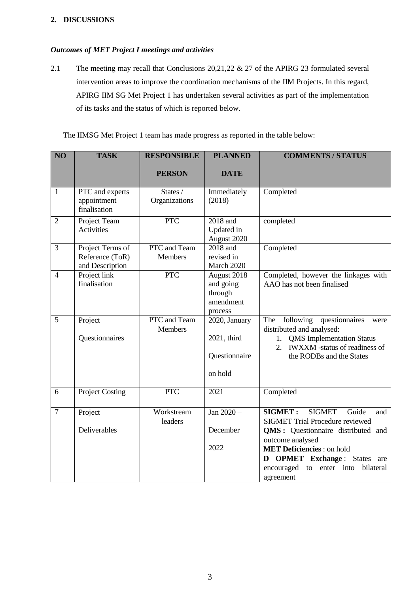## **2. DISCUSSIONS**

#### *Outcomes of MET Project I meetings and activities*

2.1 The meeting may recall that Conclusions 20,21,22 & 27 of the APIRG 23 formulated several intervention areas to improve the coordination mechanisms of the IIM Projects. In this regard, APIRG IIM SG Met Project 1 has undertaken several activities as part of the implementation of its tasks and the status of which is reported below.

The IIMSG Met Project 1 team has made progress as reported in the table below:

| N <sub>O</sub> | <b>TASK</b>                                            | <b>RESPONSIBLE</b>             | <b>PLANNED</b>                                              | <b>COMMENTS / STATUS</b>                                                                                                                                                                                                                                                                 |
|----------------|--------------------------------------------------------|--------------------------------|-------------------------------------------------------------|------------------------------------------------------------------------------------------------------------------------------------------------------------------------------------------------------------------------------------------------------------------------------------------|
|                |                                                        | <b>PERSON</b>                  | <b>DATE</b>                                                 |                                                                                                                                                                                                                                                                                          |
| $\mathbf{1}$   | PTC and experts<br>appointment<br>finalisation         | States /<br>Organizations      | Immediately<br>(2018)                                       | Completed                                                                                                                                                                                                                                                                                |
| $\overline{2}$ | Project Team<br><b>Activities</b>                      | <b>PTC</b>                     | 2018 and<br>Updated in<br>August 2020                       | completed                                                                                                                                                                                                                                                                                |
| 3              | Project Terms of<br>Reference (ToR)<br>and Description | PTC and Team<br><b>Members</b> | 2018 and<br>revised in<br>March 2020                        | Completed                                                                                                                                                                                                                                                                                |
| $\overline{4}$ | Project link<br>finalisation                           | <b>PTC</b>                     | August 2018<br>and going<br>through<br>amendment<br>process | Completed, however the linkages with<br>AAO has not been finalised                                                                                                                                                                                                                       |
| 5              | Project<br>Questionnaires                              | PTC and Team<br><b>Members</b> | 2020, January<br>2021, third<br>Questionnaire<br>on hold    | following questionnaires<br>The<br>were<br>distributed and analysed:<br><b>QMS</b> Implementation Status<br>1.<br>2. IWXXM -status of readiness of<br>the RODBs and the States                                                                                                           |
| 6              | <b>Project Costing</b>                                 | <b>PTC</b>                     | 2021                                                        | Completed                                                                                                                                                                                                                                                                                |
| $\overline{7}$ | Project<br>Deliverables                                | Workstream<br>leaders          | Jan 2020 -<br>December<br>2022                              | <b>SIGMET:</b><br><b>SIGMET</b><br>Guide<br>and<br><b>SIGMET Trial Procedure reviewed</b><br>QMS: Questionnaire distributed and<br>outcome analysed<br><b>MET Deficiencies</b> : on hold<br><b>OPMET</b> Exchange: States are<br>D<br>encouraged to enter into<br>bilateral<br>agreement |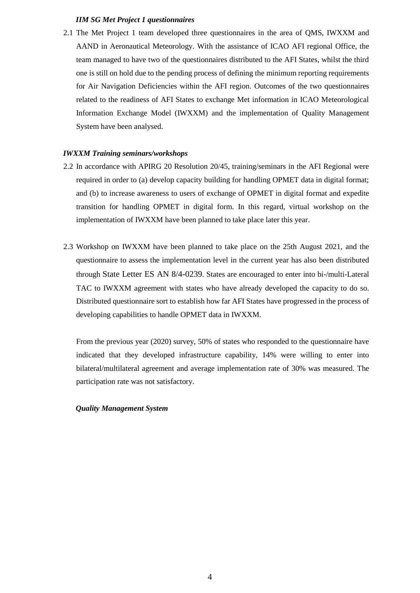#### *IIM SG Met Project 1 questionnaires*

2.1 The Met Project 1 team developed three questionnaires in the area of QMS, IWXXM and AAND in Aeronautical Meteorology. With the assistance of ICAO AFI regional Office, the team managed to have two of the questionnaires distributed to the AFI States, whilst the third one is still on hold due to the pending process of defining the minimum reporting requirements for Air Navigation Deficiencies within the AFI region. Outcomes of the two questionnaires related to the readiness of AFI States to exchange Met information in ICAO Meteorological Information Exchange Model (IWXXM) and the implementation of Quality Management System have been analysed.

#### *IWXXM Training seminars/workshops*

- 2.2 In accordance with APIRG 20 Resolution 20/45, training/seminars in the AFI Regional were required in order to (a) develop capacity building for handling OPMET data in digital format; and (b) to increase awareness to users of exchange of OPMET in digital format and expedite transition for handling OPMET in digital form. In this regard, virtual workshop on the implementation of IWXXM have been planned to take place later this year.
- 2.3 Workshop on IWXXM have been planned to take place on the 25th August 2021, and the questionnaire to assess the implementation level in the current year has also been distributed through State Letter ES AN 8/4-0239. States are encouraged to enter into bi-/multi-Lateral TAC to IWXXM agreement with states who have already developed the capacity to do so. Distributed questionnaire sort to establish how far AFI States have progressed in the process of developing capabilities to handle OPMET data in IWXXM.

From the previous year (2020) survey, 50% of states who responded to the questionnaire have indicated that they developed infrastructure capability, 14% were willing to enter into bilateral/multilateral agreement and average implementation rate of 30% was measured. The participation rate was not satisfactory.

#### *Quality Management System*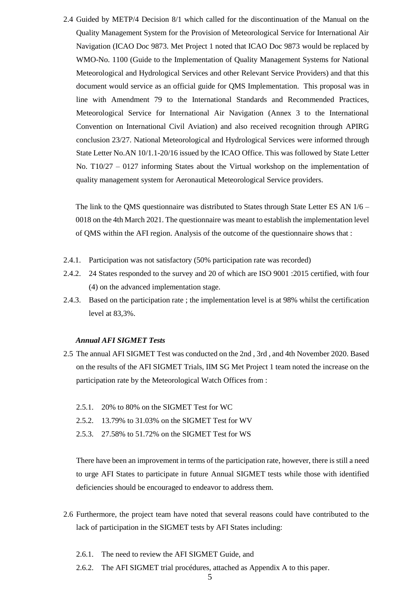2.4 Guided by METP/4 Decision 8/1 which called for the discontinuation of the Manual on the Quality Management System for the Provision of Meteorological Service for International Air Navigation (ICAO Doc 9873. Met Project 1 noted that ICAO Doc 9873 would be replaced by WMO-No. 1100 (Guide to the Implementation of Quality Management Systems for National Meteorological and Hydrological Services and other Relevant Service Providers) and that this document would service as an official guide for QMS Implementation. This proposal was in line with Amendment 79 to the International Standards and Recommended Practices, Meteorological Service for International Air Navigation (Annex 3 to the International Convention on International Civil Aviation) and also received recognition through APIRG conclusion 23/27. National Meteorological and Hydrological Services were informed through State Letter No.AN 10/1.1-20/16 issued by the ICAO Office. This was followed by State Letter No. T10/27 – 0127 informing States about the Virtual workshop on the implementation of quality management system for Aeronautical Meteorological Service providers.

The link to the QMS questionnaire was distributed to States through State Letter ES AN 1/6 – 0018 on the 4th March 2021. The questionnaire was meant to establish the implementation level of QMS within the AFI region. Analysis of the outcome of the questionnaire shows that :

- 2.4.1. Participation was not satisfactory (50% participation rate was recorded)
- 2.4.2. 24 States responded to the survey and 20 of which are ISO 9001 :2015 certified, with four (4) on the advanced implementation stage.
- 2.4.3. Based on the participation rate ; the implementation level is at 98% whilst the certification level at 83,3%.

#### *Annual AFI SIGMET Tests*

- 2.5 The annual AFI SIGMET Test was conducted on the 2nd , 3rd , and 4th November 2020. Based on the results of the AFI SIGMET Trials, IIM SG Met Project 1 team noted the increase on the participation rate by the Meteorological Watch Offices from :
	- 2.5.1. 20% to 80% on the SIGMET Test for WC
	- 2.5.2. 13.79% to 31.03% on the SIGMET Test for WV
	- 2.5.3. 27.58% to 51.72% on the SIGMET Test for WS

There have been an improvement in terms of the participation rate, however, there is still a need to urge AFI States to participate in future Annual SIGMET tests while those with identified deficiencies should be encouraged to endeavor to address them.

- 2.6 Furthermore, the project team have noted that several reasons could have contributed to the lack of participation in the SIGMET tests by AFI States including:
	- 2.6.1. The need to review the AFI SIGMET Guide, and
	- 2.6.2. The AFI SIGMET trial procédures, attached as Appendix A to this paper.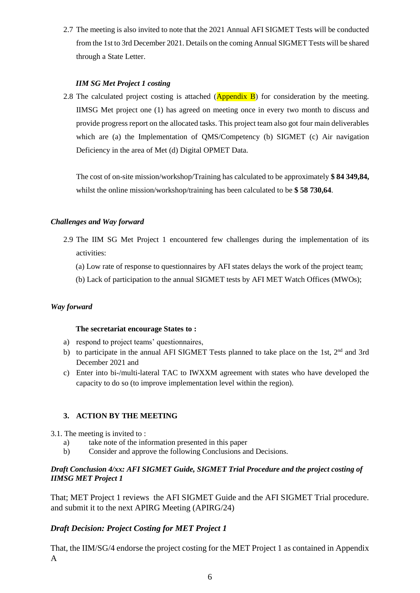2.7 The meeting is also invited to note that the 2021 Annual AFI SIGMET Tests will be conducted from the 1st to 3rd December 2021. Details on the coming Annual SIGMET Tests will be shared through a State Letter.

## *IIM SG Met Project 1 costing*

2.8 The calculated project costing is attached  $(Appendix B)$  for consideration by the meeting. IIMSG Met project one (1) has agreed on meeting once in every two month to discuss and provide progress report on the allocated tasks. This project team also got four main deliverables which are (a) the Implementation of QMS/Competency (b) SIGMET (c) Air navigation Deficiency in the area of Met (d) Digital OPMET Data.

The cost of on-site mission/workshop/Training has calculated to be approximately **\$ 84 349,84,**  whilst the online mission/workshop/training has been calculated to be **\$ 58 730,64**.

## *Challenges and Way forward*

- 2.9 The IIM SG Met Project 1 encountered few challenges during the implementation of its activities:
	- (a) Low rate of response to questionnaires by AFI states delays the work of the project team;
	- (b) Lack of participation to the annual SIGMET tests by AFI MET Watch Offices (MWOs);

## *Way forward*

## **The secretariat encourage States to :**

- a) respond to project teams' questionnaires,
- b) to participate in the annual AFI SIGMET Tests planned to take place on the 1st,  $2<sup>nd</sup>$  and 3rd December 2021 and
- c) Enter into bi-/multi-lateral TAC to IWXXM agreement with states who have developed the capacity to do so (to improve implementation level within the region).

## **3. ACTION BY THE MEETING**

- 3.1. The meeting is invited to :
	- a) take note of the information presented in this paper
	- b) Consider and approve the following Conclusions and Decisions.

## *Draft Conclusion 4/xx: AFI SIGMET Guide, SIGMET Trial Procedure and the project costing of IIMSG MET Project 1*

That; MET Project 1 reviews the AFI SIGMET Guide and the AFI SIGMET Trial procedure. and submit it to the next APIRG Meeting (APIRG/24)

# *Draft Decision: Project Costing for MET Project 1*

That, the IIM/SG/4 endorse the project costing for the MET Project 1 as contained in Appendix A